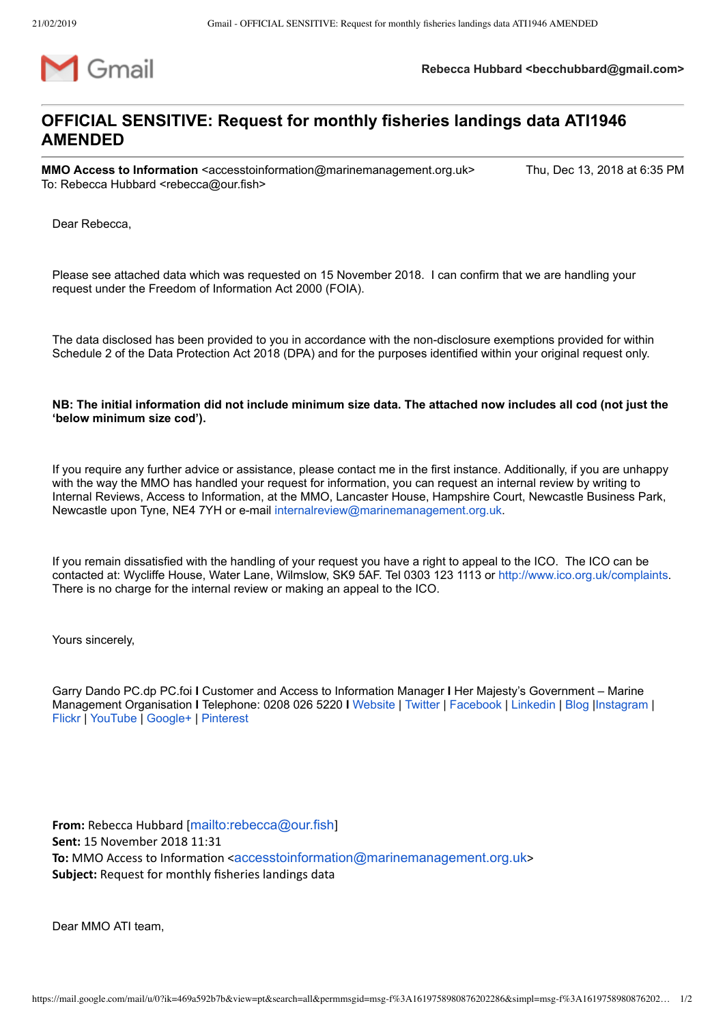

**Rebecca Hubbard <becchubbard@gmail.com>**

## **OFFICIAL SENSITIVE: Request for monthly fisheries landings data ATI1946 AMENDED**

**MMO Access to Information** <accesstoinformation@marinemanagement.org.uk> Thu, Dec 13, 2018 at 6:35 PM To: Rebecca Hubbard <rebecca@our.fish>

Dear Rebecca,

Please see attached data which was requested on 15 November 2018. I can confirm that we are handling your request under the Freedom of Information Act 2000 (FOIA).

The data disclosed has been provided to you in accordance with the non-disclosure exemptions provided for within Schedule 2 of the Data Protection Act 2018 (DPA) and for the purposes identified within your original request only.

**NB: The initial information did not include minimum size data. The attached now includes all cod (not just the 'below minimum size cod').**

If you require any further advice or assistance, please contact me in the first instance. Additionally, if you are unhappy with the way the MMO has handled your request for information, you can request an internal review by writing to Internal Reviews, Access to Information, at the MMO, Lancaster House, Hampshire Court, Newcastle Business Park, Newcastle upon Tyne, NE4 7YH or e-mail [internalreview@marinemanagement.org.uk](mailto:internalreview@marinemanagement.org.uk).

If you remain dissatisfied with the handling of your request you have a right to appeal to the ICO. The ICO can be contacted at: Wycliffe House, Water Lane, Wilmslow, SK9 5AF. Tel 0303 123 1113 or <http://www.ico.org.uk/complaints>. There is no charge for the internal review or making an appeal to the ICO.

Yours sincerely,

Garry Dando PC.dp PC.foi **I** Customer and Access to Information Manager **I** Her Majesty's Government – Marine Management Organisation **I** Telephone: 0208 026 5220 **I** [Website](https://www.gov.uk/mmo) | [Twitter](https://twitter.com/the_MMO) | [Facebook](https://www.facebook.com/MarineManagementOrganisation) | [Linkedin](https://www.linkedin.com/company/marine-management-organisation) | [Blog](https://marinedevelopments.blog.gov.uk/) [|Instagram](https://instagram.com/marinemanagementgovuk/) | [Flickr](https://www.flickr.com/marinemanagementorganisation) | [YouTube](http://www.youtube.com/marinemanagementorg) | [Google+](https://plus.google.com/+MarinemanagementOrgUk/posts) | [Pinterest](https://www.pinterest.com/themmo)

**From:** Rebecca Hubbard [<mailto:rebecca@our.fish>] **Sent:** 15 November 2018 11:31 **To:** MMO Access to Information <[accesstoinformation@marinemanagement.org.uk](mailto:accesstoinformation@marinemanagement.org.uk)> **Subject:** Request for monthly fisheries landings data

Dear MMO ATI team,